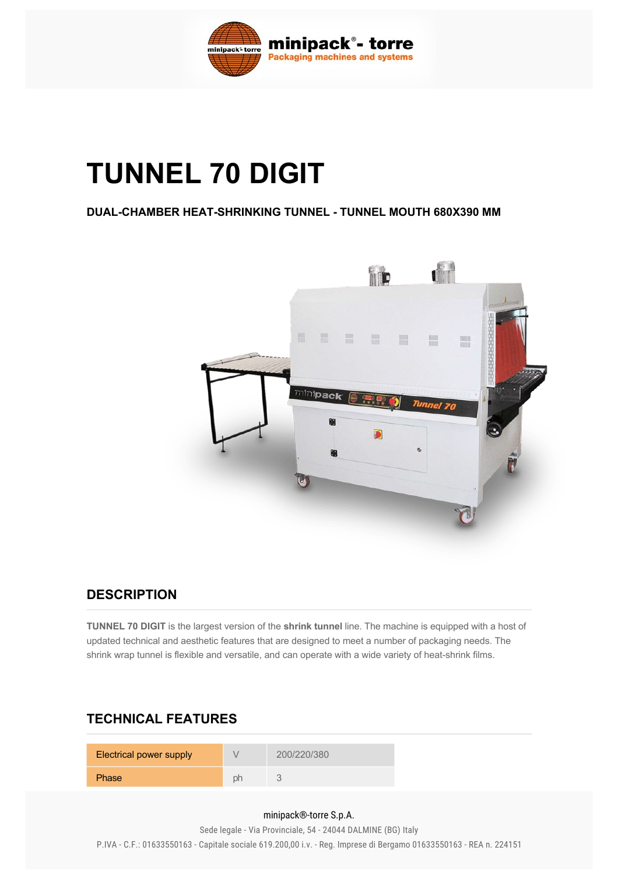

# **TUNNEL 70 DIGIT**

#### **DUAL-CHAMBER HEAT-SHRINKING TUNNEL - TUNNEL MOUTH 680X390 MM**



#### **DESCRIPTION**

**TUNNEL 70 DIGIT** is the largest version of the **shrink tunnel** line. The machine is equipped with a host of updated technical and aesthetic features that are designed to meet a number of packaging needs. The shrink wrap tunnel is flexible and versatile, and can operate with a wide variety of heat-shrink films.

### **TECHNICAL FEATURES**

| <b>Electrical power supply</b> |    | 200/220/380 |
|--------------------------------|----|-------------|
| <b>Phase</b>                   | ph |             |

#### minipack®-torre S.p.A.

Sede legale - Via Provinciale, 54 - 24044 DALMINE (BG) Italy P.IVA - C.F.: 01633550163 - Capitale sociale 619.200,00 i.v. - Reg. Imprese di Bergamo 01633550163 - REA n. 224151